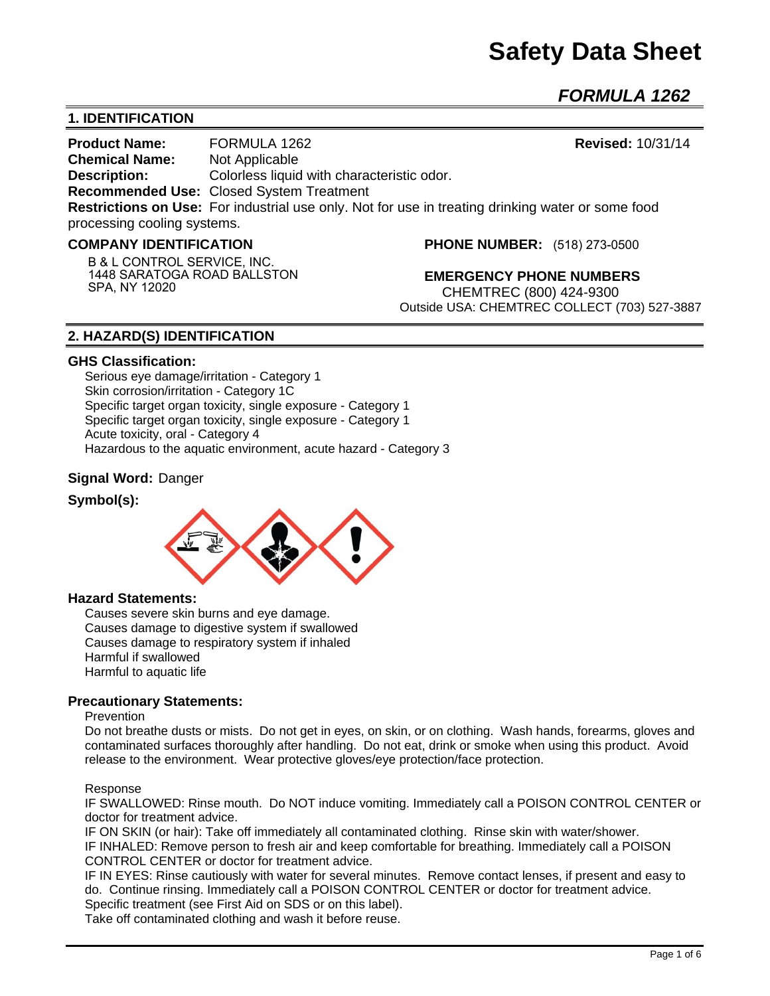# **Safety Data Sheet**

*FORMULA 1262* 

# **1. IDENTIFICATION**

**Product Name:** FORMULA 1262 **Revised:** 10/31/14 **Chemical Name:** Not Applicable **Description:** Colorless liquid with characteristic odor. **Recommended Use:** Closed System Treatment **Restrictions on Use:** For industrial use only. Not for use in treating drinking water or some food processing cooling systems.

## **COMPANY IDENTIFICATION**

**B & L CONTROL SERVICE, INC. 1448 SARATOGA ROAD BALLSTON SPA, NY 12020**

**PHONE NUMBER:** (518) 273-0500

**EMERGENCY PHONE NUMBERS** CHEMTREC (800) 424-9300 Outside USA: CHEMTREC COLLECT (703) 527-3887

# **2. HAZARD(S) IDENTIFICATION**

#### **GHS Classification:**

Serious eye damage/irritation - Category 1 Skin corrosion/irritation - Category 1C Specific target organ toxicity, single exposure - Category 1 Specific target organ toxicity, single exposure - Category 1 Acute toxicity, oral - Category 4 Hazardous to the aquatic environment, acute hazard - Category 3

## **Signal Word:** Danger

## **Symbol(s):**



#### **Hazard Statements:**

Causes severe skin burns and eye damage. Causes damage to digestive system if swallowed Causes damage to respiratory system if inhaled Harmful if swallowed Harmful to aquatic life

#### **Precautionary Statements:**

#### Prevention

Do not breathe dusts or mists. Do not get in eyes, on skin, or on clothing. Wash hands, forearms, gloves and contaminated surfaces thoroughly after handling. Do not eat, drink or smoke when using this product. Avoid release to the environment. Wear protective gloves/eye protection/face protection.

#### Response

IF SWALLOWED: Rinse mouth. Do NOT induce vomiting. Immediately call a POISON CONTROL CENTER or doctor for treatment advice.

IF ON SKIN (or hair): Take off immediately all contaminated clothing. Rinse skin with water/shower. IF INHALED: Remove person to fresh air and keep comfortable for breathing. Immediately call a POISON CONTROL CENTER or doctor for treatment advice.

IF IN EYES: Rinse cautiously with water for several minutes. Remove contact lenses, if present and easy to do. Continue rinsing. Immediately call a POISON CONTROL CENTER or doctor for treatment advice. Specific treatment (see First Aid on SDS or on this label).

Take off contaminated clothing and wash it before reuse.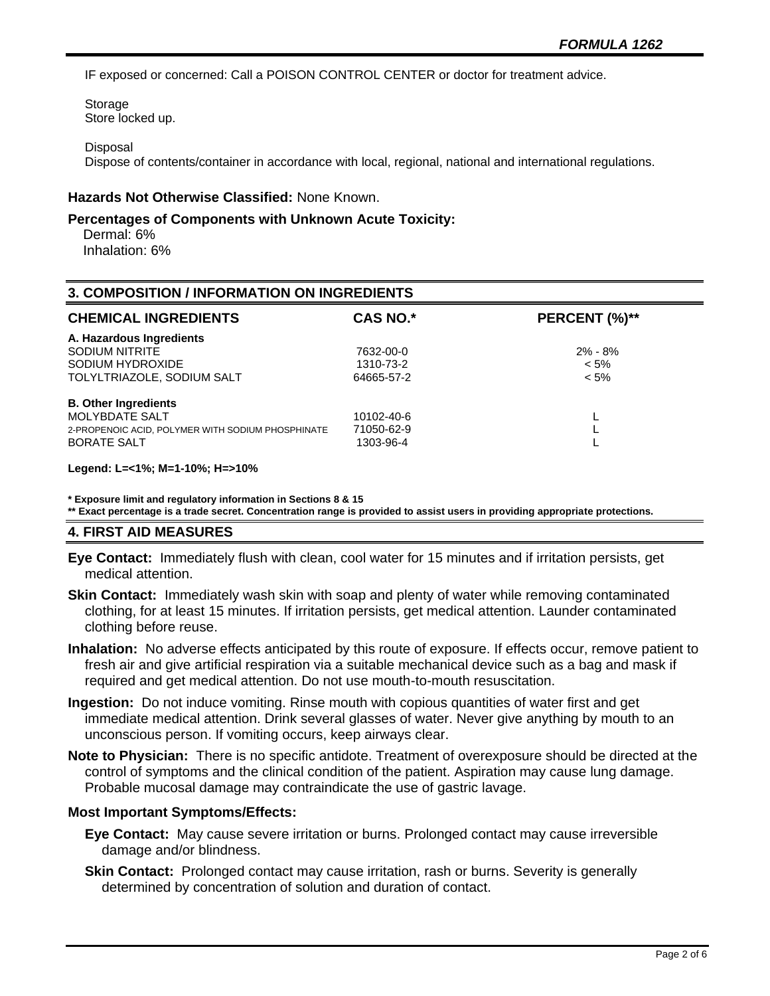IF exposed or concerned: Call a POISON CONTROL CENTER or doctor for treatment advice.

Storage Store locked up.

#### **Disposal**

Dispose of contents/container in accordance with local, regional, national and international regulations.

#### **Hazards Not Otherwise Classified:** None Known.

#### **Percentages of Components with Unknown Acute Toxicity:**

 Dermal: 6% Inhalation: 6%

| <b>3. COMPOSITION / INFORMATION ON INGREDIENTS</b> |            |               |  |
|----------------------------------------------------|------------|---------------|--|
| <b>CHEMICAL INGREDIENTS</b>                        | CAS NO.*   | PERCENT (%)** |  |
| A. Hazardous Ingredients                           |            |               |  |
| SODIUM NITRITE                                     | 7632-00-0  | $2\% - 8\%$   |  |
| SODIUM HYDROXIDE                                   | 1310-73-2  | $< 5\%$       |  |
| TOLYLTRIAZOLE, SODIUM SALT                         | 64665-57-2 | $< 5\%$       |  |
| <b>B. Other Ingredients</b>                        |            |               |  |
| MOLYBDATE SALT                                     | 10102-40-6 |               |  |
| 2-PROPENOIC ACID. POLYMER WITH SODIUM PHOSPHINATE  | 71050-62-9 |               |  |
| <b>BORATE SALT</b>                                 | 1303-96-4  |               |  |

#### **Legend: L=<1%; M=1-10%; H=>10%**

**\* Exposure limit and regulatory information in Sections 8 & 15**

**\*\* Exact percentage is a trade secret. Concentration range is provided to assist users in providing appropriate protections.**

# **4. FIRST AID MEASURES**

- **Eye Contact:** Immediately flush with clean, cool water for 15 minutes and if irritation persists, get medical attention.
- **Skin Contact:** Immediately wash skin with soap and plenty of water while removing contaminated clothing, for at least 15 minutes. If irritation persists, get medical attention. Launder contaminated clothing before reuse.
- **Inhalation:** No adverse effects anticipated by this route of exposure. If effects occur, remove patient to fresh air and give artificial respiration via a suitable mechanical device such as a bag and mask if required and get medical attention. Do not use mouth-to-mouth resuscitation.
- **Ingestion:** Do not induce vomiting. Rinse mouth with copious quantities of water first and get immediate medical attention. Drink several glasses of water. Never give anything by mouth to an unconscious person. If vomiting occurs, keep airways clear.
- **Note to Physician:** There is no specific antidote. Treatment of overexposure should be directed at the control of symptoms and the clinical condition of the patient. Aspiration may cause lung damage. Probable mucosal damage may contraindicate the use of gastric lavage.

#### **Most Important Symptoms/Effects:**

- **Eye Contact:** May cause severe irritation or burns. Prolonged contact may cause irreversible damage and/or blindness.
- **Skin Contact:** Prolonged contact may cause irritation, rash or burns. Severity is generally determined by concentration of solution and duration of contact.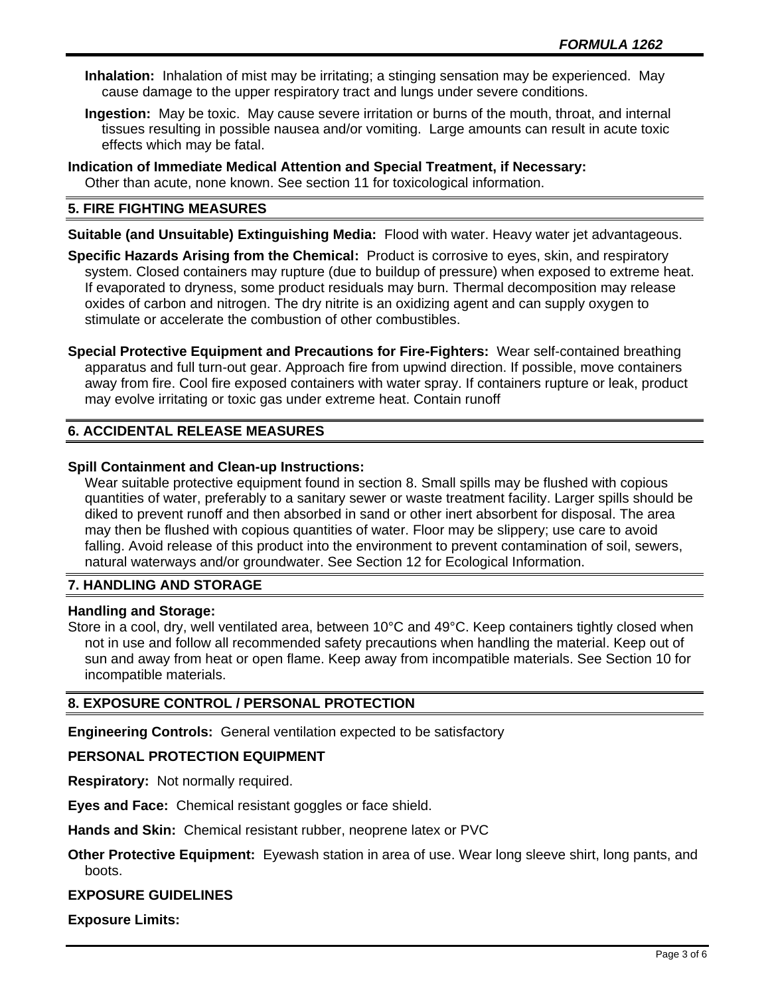- **Inhalation:** Inhalation of mist may be irritating; a stinging sensation may be experienced. May cause damage to the upper respiratory tract and lungs under severe conditions.
- **Ingestion:** May be toxic. May cause severe irritation or burns of the mouth, throat, and internal tissues resulting in possible nausea and/or vomiting. Large amounts can result in acute toxic effects which may be fatal.
- **Indication of Immediate Medical Attention and Special Treatment, if Necessary:** Other than acute, none known. See section 11 for toxicological information.

# **5. FIRE FIGHTING MEASURES**

**Suitable (and Unsuitable) Extinguishing Media:** Flood with water. Heavy water jet advantageous.

**Specific Hazards Arising from the Chemical:** Product is corrosive to eyes, skin, and respiratory system. Closed containers may rupture (due to buildup of pressure) when exposed to extreme heat. If evaporated to dryness, some product residuals may burn. Thermal decomposition may release oxides of carbon and nitrogen. The dry nitrite is an oxidizing agent and can supply oxygen to stimulate or accelerate the combustion of other combustibles.

**Special Protective Equipment and Precautions for Fire-Fighters:** Wear self-contained breathing apparatus and full turn-out gear. Approach fire from upwind direction. If possible, move containers away from fire. Cool fire exposed containers with water spray. If containers rupture or leak, product may evolve irritating or toxic gas under extreme heat. Contain runoff

# **6. ACCIDENTAL RELEASE MEASURES**

# **Spill Containment and Clean-up Instructions:**

Wear suitable protective equipment found in section 8. Small spills may be flushed with copious quantities of water, preferably to a sanitary sewer or waste treatment facility. Larger spills should be diked to prevent runoff and then absorbed in sand or other inert absorbent for disposal. The area may then be flushed with copious quantities of water. Floor may be slippery; use care to avoid falling. Avoid release of this product into the environment to prevent contamination of soil, sewers, natural waterways and/or groundwater. See Section 12 for Ecological Information.

# **7. HANDLING AND STORAGE**

## **Handling and Storage:**

Store in a cool, dry, well ventilated area, between 10°C and 49°C. Keep containers tightly closed when not in use and follow all recommended safety precautions when handling the material. Keep out of sun and away from heat or open flame. Keep away from incompatible materials. See Section 10 for incompatible materials.

# **8. EXPOSURE CONTROL / PERSONAL PROTECTION**

**Engineering Controls:** General ventilation expected to be satisfactory

## **PERSONAL PROTECTION EQUIPMENT**

**Respiratory:** Not normally required.

**Eyes and Face:** Chemical resistant goggles or face shield.

**Hands and Skin:** Chemical resistant rubber, neoprene latex or PVC

**Other Protective Equipment:** Eyewash station in area of use. Wear long sleeve shirt, long pants, and boots.

## **EXPOSURE GUIDELINES**

**Exposure Limits:**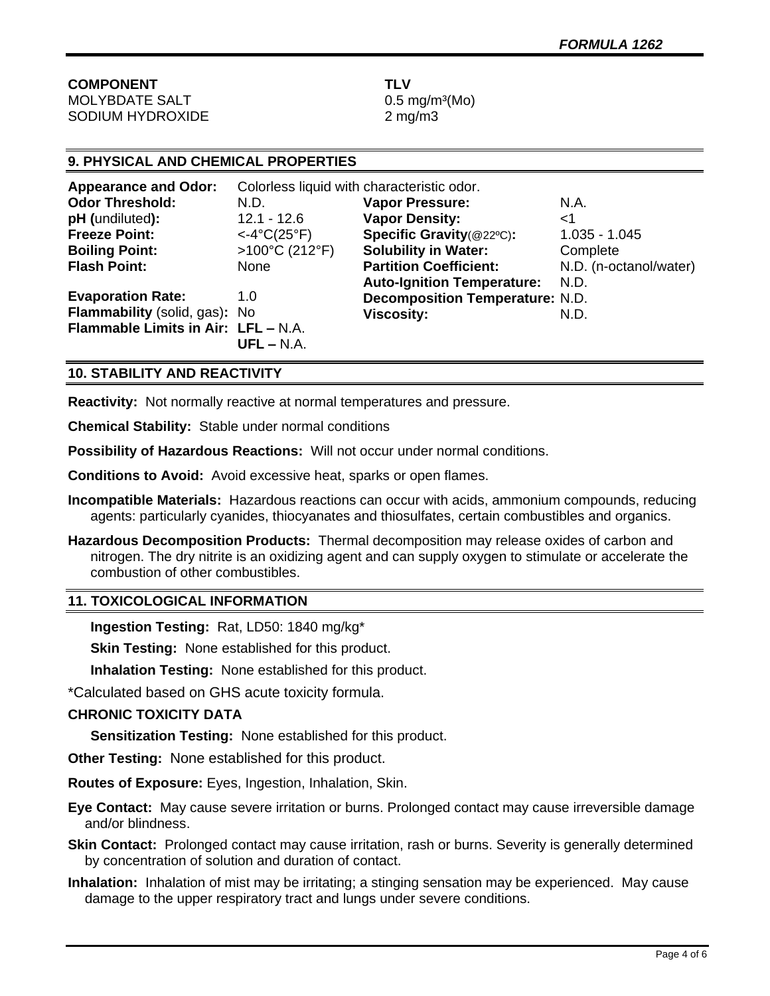| <b>COMPONENT</b>      | TLV            |
|-----------------------|----------------|
| <b>MOLYBDATE SALT</b> | 0.51           |
| SODIUM HYDROXIDE      | 2 <sub>m</sub> |

 $0.5$  mg/m<sup>3</sup>(Mo)  $2 \text{ mg/m}$ 

# **9. PHYSICAL AND CHEMICAL PROPERTIES**

| <b>Appearance and Odor:</b>         | Colorless liquid with characteristic odor. |                                        |                        |
|-------------------------------------|--------------------------------------------|----------------------------------------|------------------------|
| <b>Odor Threshold:</b>              | N.D.                                       | <b>Vapor Pressure:</b>                 | N.A.                   |
| pH (undiluted):                     | $12.1 - 12.6$                              | <b>Vapor Density:</b>                  | ا>                     |
| <b>Freeze Point:</b>                | $<-4°C(25°F)$                              | Specific Gravity(@22°C):               | $1.035 - 1.045$        |
| <b>Boiling Point:</b>               | >100°C (212°F)                             | <b>Solubility in Water:</b>            | Complete               |
| <b>Flash Point:</b>                 | None                                       | <b>Partition Coefficient:</b>          | N.D. (n-octanol/water) |
|                                     |                                            | <b>Auto-Ignition Temperature:</b>      | N.D.                   |
| <b>Evaporation Rate:</b>            | 1.0                                        | <b>Decomposition Temperature: N.D.</b> |                        |
| Flammability (solid, gas): No       |                                            | <b>Viscosity:</b>                      | N.D.                   |
| Flammable Limits in Air: LFL - N.A. | $UFL - N.A.$                               |                                        |                        |

# **10. STABILITY AND REACTIVITY**

**Reactivity:** Not normally reactive at normal temperatures and pressure.

**Chemical Stability:** Stable under normal conditions

**Possibility of Hazardous Reactions:** Will not occur under normal conditions.

**Conditions to Avoid:** Avoid excessive heat, sparks or open flames.

- **Incompatible Materials:** Hazardous reactions can occur with acids, ammonium compounds, reducing agents: particularly cyanides, thiocyanates and thiosulfates, certain combustibles and organics.
- **Hazardous Decomposition Products:** Thermal decomposition may release oxides of carbon and nitrogen. The dry nitrite is an oxidizing agent and can supply oxygen to stimulate or accelerate the combustion of other combustibles.

## **11. TOXICOLOGICAL INFORMATION**

**Ingestion Testing:** Rat, LD50: 1840 mg/kg\*

**Skin Testing:** None established for this product.

**Inhalation Testing:** None established for this product.

\*Calculated based on GHS acute toxicity formula.

## **CHRONIC TOXICITY DATA**

**Sensitization Testing:** None established for this product.

**Other Testing:** None established for this product.

**Routes of Exposure:** Eyes, Ingestion, Inhalation, Skin.

**Eye Contact:** May cause severe irritation or burns. Prolonged contact may cause irreversible damage and/or blindness.

**Skin Contact:** Prolonged contact may cause irritation, rash or burns. Severity is generally determined by concentration of solution and duration of contact.

**Inhalation:** Inhalation of mist may be irritating; a stinging sensation may be experienced. May cause damage to the upper respiratory tract and lungs under severe conditions.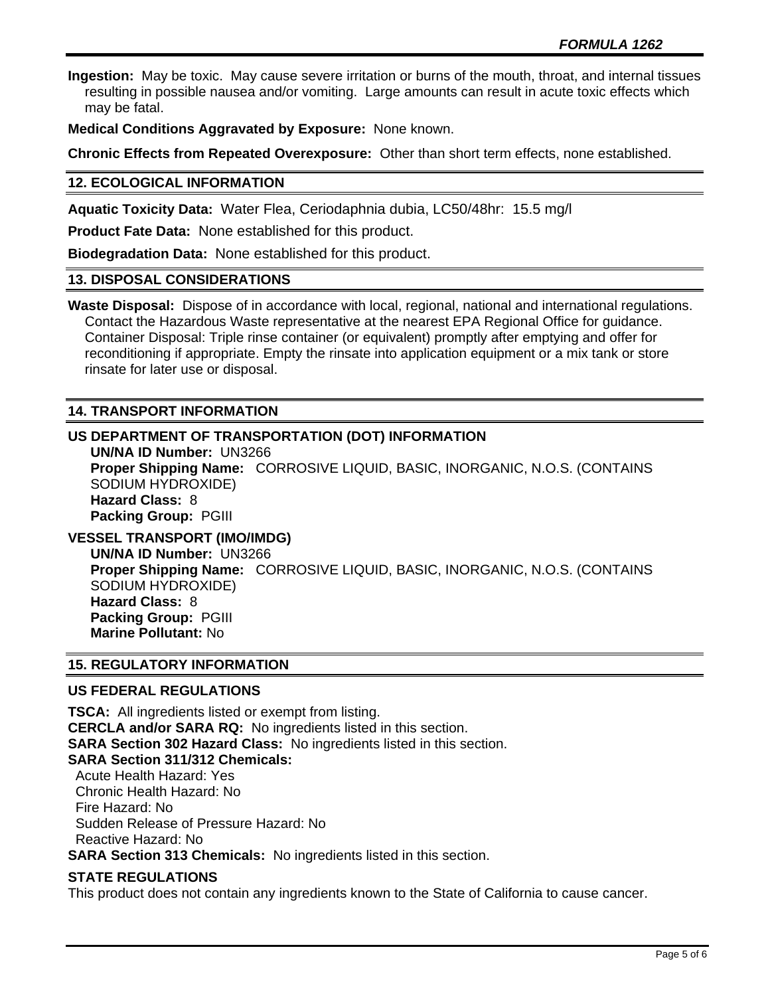**Ingestion:** May be toxic. May cause severe irritation or burns of the mouth, throat, and internal tissues resulting in possible nausea and/or vomiting. Large amounts can result in acute toxic effects which may be fatal.

**Medical Conditions Aggravated by Exposure:** None known.

**Chronic Effects from Repeated Overexposure:** Other than short term effects, none established.

# **12. ECOLOGICAL INFORMATION**

**Aquatic Toxicity Data:** Water Flea, Ceriodaphnia dubia, LC50/48hr: 15.5 mg/l

**Product Fate Data:** None established for this product.

**Biodegradation Data:** None established for this product.

#### **13. DISPOSAL CONSIDERATIONS**

**Waste Disposal:** Dispose of in accordance with local, regional, national and international regulations. Contact the Hazardous Waste representative at the nearest EPA Regional Office for guidance. Container Disposal: Triple rinse container (or equivalent) promptly after emptying and offer for reconditioning if appropriate. Empty the rinsate into application equipment or a mix tank or store rinsate for later use or disposal.

# **14. TRANSPORT INFORMATION**

# **US DEPARTMENT OF TRANSPORTATION (DOT) INFORMATION**

**UN/NA ID Number:** UN3266 **Proper Shipping Name:** CORROSIVE LIQUID, BASIC, INORGANIC, N.O.S. (CONTAINS SODIUM HYDROXIDE) **Hazard Class:** 8 **Packing Group:** PGIII

# **VESSEL TRANSPORT (IMO/IMDG)**

**UN/NA ID Number:** UN3266 **Proper Shipping Name:** CORROSIVE LIQUID, BASIC, INORGANIC, N.O.S. (CONTAINS SODIUM HYDROXIDE) **Hazard Class:** 8 **Packing Group:** PGIII **Marine Pollutant:** No

## **15. REGULATORY INFORMATION**

## **US FEDERAL REGULATIONS**

**TSCA:** All ingredients listed or exempt from listing. **CERCLA and/or SARA RQ:** No ingredients listed in this section. **SARA Section 302 Hazard Class:** No ingredients listed in this section. **SARA Section 311/312 Chemicals:**  Acute Health Hazard: Yes Chronic Health Hazard: No Fire Hazard: No Sudden Release of Pressure Hazard: No Reactive Hazard: No **SARA Section 313 Chemicals:** No ingredients listed in this section.

## **STATE REGULATIONS**

This product does not contain any ingredients known to the State of California to cause cancer.